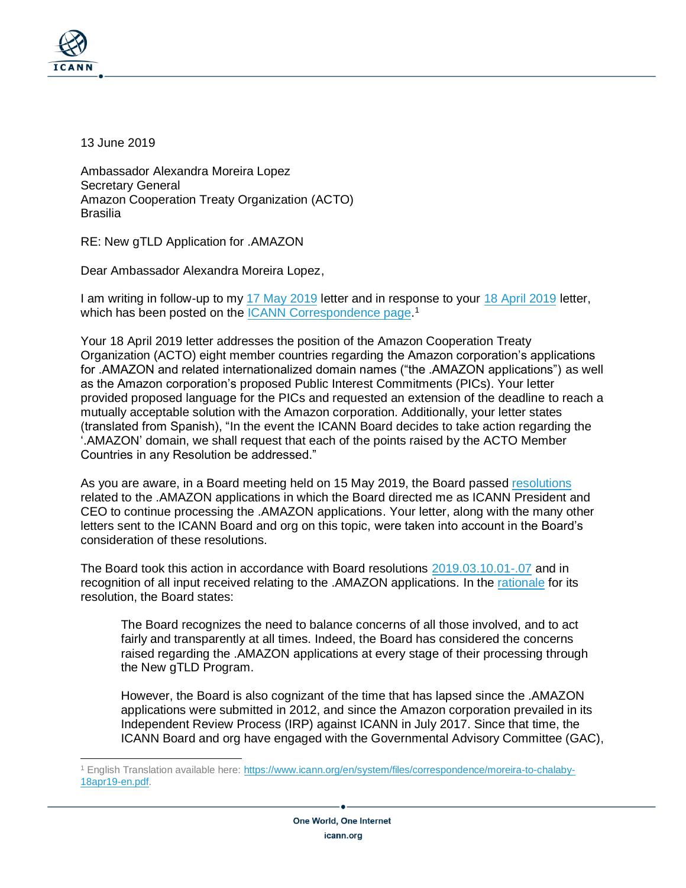

13 June 2019

Ambassador Alexandra Moreira Lopez Secretary General Amazon Cooperation Treaty Organization (ACTO) **Brasilia** 

RE: New gTLD Application for .AMAZON

Dear Ambassador Alexandra Moreira Lopez,

I am writing in follow-up to my [17 May 2019](https://www.icann.org/en/system/files/correspondence/marby-to-moreira-17may19-en.pdf) letter and in response to your [18 April 2019](https://www.icann.org/es/system/files/correspondence/moreira-to-chalaby-18apr19-es.pdf) letter, which has been posted on the [ICANN Correspondence page.](https://www.icann.org/resources/pages/correspondence)<sup>1</sup>

Your 18 April 2019 letter addresses the position of the Amazon Cooperation Treaty Organization (ACTO) eight member countries regarding the Amazon corporation's applications for .AMAZON and related internationalized domain names ("the .AMAZON applications") as well as the Amazon corporation's proposed Public Interest Commitments (PICs). Your letter provided proposed language for the PICs and requested an extension of the deadline to reach a mutually acceptable solution with the Amazon corporation. Additionally, your letter states (translated from Spanish), "In the event the ICANN Board decides to take action regarding the '.AMAZON' domain, we shall request that each of the points raised by the ACTO Member Countries in any Resolution be addressed."

As you are aware, in a Board meeting held on 15 May 2019, the Board passed [resolutions](https://www.icann.org/resources/board-material/resolutions-2019-05-15-en#1.c) related to the .AMAZON applications in which the Board directed me as ICANN President and CEO to continue processing the .AMAZON applications. Your letter, along with the many other letters sent to the ICANN Board and org on this topic, were taken into account in the Board's consideration of these resolutions.

The Board took this action in accordance with Board resolutions [2019.03.10.01-.07](https://www.icann.org/resources/board-material/resolutions-2019-03-10-en#1.a) and in recognition of all input received relating to the .AMAZON applications. In the [rationale](https://www.icann.org/resources/board-material/resolutions-2019-05-15-en#1.c.rationale) for its resolution, the Board states:

The Board recognizes the need to balance concerns of all those involved, and to act fairly and transparently at all times. Indeed, the Board has considered the concerns raised regarding the .AMAZON applications at every stage of their processing through the New gTLD Program.

However, the Board is also cognizant of the time that has lapsed since the .AMAZON applications were submitted in 2012, and since the Amazon corporation prevailed in its Independent Review Process (IRP) against ICANN in July 2017. Since that time, the ICANN Board and org have engaged with the Governmental Advisory Committee (GAC),

<sup>1</sup> English Translation available here: [https://www.icann.org/en/system/files/correspondence/moreira-to-chalaby-](https://www.icann.org/en/system/files/correspondence/moreira-to-chalaby-18apr19-en.pdf)[18apr19-en.pdf.](https://www.icann.org/en/system/files/correspondence/moreira-to-chalaby-18apr19-en.pdf)